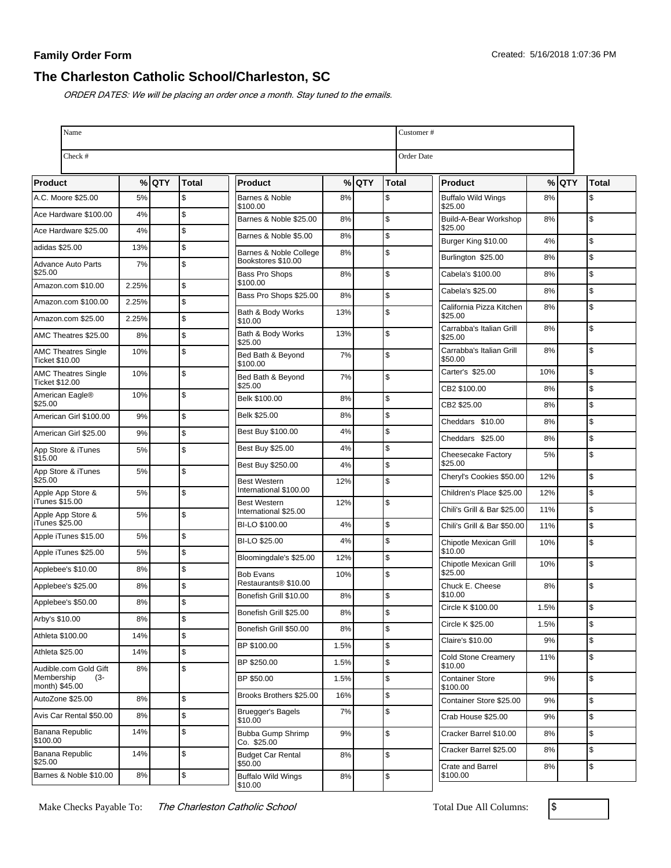# **The Charleston Catholic School/Charleston, SC**

ORDER DATES: We will be placing an order once a month. Stay tuned to the emails.

| Name                                                |       |         |       |                                                      |      |         |              | Customer#                             |      |         |              |  |
|-----------------------------------------------------|-------|---------|-------|------------------------------------------------------|------|---------|--------------|---------------------------------------|------|---------|--------------|--|
| Check #                                             |       |         |       |                                                      |      |         |              | <b>Order Date</b>                     |      |         |              |  |
| <b>Product</b>                                      |       | $%$ QTY | Total | <b>Product</b>                                       |      | $%$ QTY | <b>Total</b> | <b>Product</b>                        |      | $%$ QTY | <b>Total</b> |  |
| A.C. Moore \$25.00                                  | 5%    |         | \$    | Barnes & Noble                                       | 8%   |         | \$           | <b>Buffalo Wild Wings</b>             | 8%   |         | \$           |  |
| Ace Hardware \$100.00                               | 4%    |         | \$    | \$100.00<br>Barnes & Noble \$25.00                   | 8%   |         | \$           | \$25.00<br>Build-A-Bear Workshop      | 8%   |         | \$           |  |
| Ace Hardware \$25.00                                | 4%    |         | \$    | Barnes & Noble \$5.00                                | 8%   |         | \$           | \$25.00                               |      |         |              |  |
| adidas \$25.00                                      | 13%   |         | \$    | Barnes & Noble College                               | 8%   |         | \$           | Burger King \$10.00                   | 4%   |         | \$           |  |
| <b>Advance Auto Parts</b>                           | 7%    |         | \$    | Bookstores \$10.00                                   |      |         |              | Burlington \$25.00                    | 8%   |         | \$           |  |
| \$25.00<br>Amazon.com \$10.00                       | 2.25% |         | \$    | <b>Bass Pro Shops</b><br>\$100.00                    | 8%   |         | \$           | Cabela's \$100.00                     | 8%   |         | \$           |  |
| Amazon.com \$100.00                                 | 2.25% |         | \$    | Bass Pro Shops \$25.00                               | 8%   |         | \$           | Cabela's \$25.00                      | 8%   |         | \$           |  |
| Amazon.com \$25.00                                  | 2.25% |         | \$    | Bath & Body Works<br>\$10.00                         | 13%  |         | \$           | California Pizza Kitchen<br>\$25.00   | 8%   |         | \$           |  |
| AMC Theatres \$25.00                                | 8%    |         | \$    | Bath & Body Works                                    | 13%  |         | \$           | Carrabba's Italian Grill<br>\$25.00   | 8%   |         | \$           |  |
| <b>AMC Theatres Single</b>                          | 10%   |         | \$    | \$25.00<br>Bed Bath & Beyond                         | 7%   |         | \$           | Carrabba's Italian Grill              | 8%   |         | \$           |  |
| <b>Ticket \$10.00</b><br><b>AMC Theatres Single</b> | 10%   |         | \$    | \$100.00                                             |      |         |              | \$50.00<br>Carter's \$25.00           | 10%  |         | \$           |  |
| <b>Ticket \$12.00</b>                               |       |         |       | Bed Bath & Beyond<br>\$25.00                         | 7%   |         | \$           | CB2 \$100.00                          | 8%   |         | \$           |  |
| American Eagle®<br>\$25.00                          | 10%   |         | \$    | Belk \$100.00                                        | 8%   |         | \$           | CB2 \$25.00                           | 8%   |         | \$           |  |
| American Girl \$100.00                              | 9%    |         | \$    | Belk \$25.00                                         | 8%   |         | \$           | Cheddars \$10.00                      | 8%   |         | \$           |  |
| American Girl \$25.00                               | 9%    |         | \$    | Best Buy \$100.00                                    | 4%   |         | \$           | Cheddars \$25.00                      | 8%   |         | \$           |  |
| App Store & iTunes                                  | 5%    |         | \$    | Best Buy \$25.00                                     | 4%   |         | \$           | Cheesecake Factory                    | 5%   |         | \$           |  |
| \$15.00<br>App Store & iTunes                       | 5%    |         | \$    | Best Buy \$250.00                                    | 4%   |         | \$           | \$25.00                               |      |         |              |  |
| \$25.00                                             |       |         |       | <b>Best Western</b><br>International \$100.00        | 12%  |         | \$           | Cheryl's Cookies \$50.00              | 12%  |         | \$           |  |
| Apple App Store &<br>iTunes \$15.00                 | 5%    |         | \$    | <b>Best Western</b>                                  | 12%  |         | \$           | Children's Place \$25.00              | 12%  |         | \$           |  |
| Apple App Store &                                   | 5%    |         | \$    | International \$25.00                                |      |         |              | Chili's Grill & Bar \$25.00           | 11%  |         | \$           |  |
| iTunes \$25.00<br>Apple iTunes \$15.00              | 5%    |         | \$    | BI-LO \$100.00                                       | 4%   |         | \$           | Chili's Grill & Bar \$50.00           | 11%  |         | \$           |  |
| Apple iTunes \$25.00                                | 5%    |         | \$    | BI-LO \$25.00                                        | 4%   |         | \$           | Chipotle Mexican Grill<br>\$10.00     | 10%  |         | \$           |  |
| Applebee's \$10.00                                  | 8%    |         | \$    | Bloomingdale's \$25.00                               | 12%  |         | \$           | Chipotle Mexican Grill                | 10%  |         | \$           |  |
| Applebee's \$25.00                                  | 8%    |         | \$    | <b>Bob Evans</b><br>Restaurants <sup>®</sup> \$10.00 | 10%  |         | \$           | \$25.00<br>Chuck E. Cheese            | 8%   |         | \$           |  |
| Applebee's \$50.00                                  | 8%    |         | \$    | Bonefish Grill \$10.00                               | 8%   |         | \$           | \$10.00                               |      |         |              |  |
| Arby's \$10.00                                      | 8%    |         | \$    | Bonefish Grill \$25.00                               | 8%   |         | \$           | Circle K \$100.00                     | 1.5% |         | \$           |  |
| Athleta \$100.00                                    | 14%   |         | \$    | Bonefish Grill \$50.00                               | 8%   |         | \$           | Circle K \$25.00                      | 1.5% |         | \$           |  |
| Athleta \$25.00                                     | 14%   |         | \$    | BP \$100.00                                          | 1.5% |         | \$           | Claire's \$10.00                      | 9%   |         | \$           |  |
| Audible.com Gold Gift                               | 8%    |         | \$    | BP \$250.00                                          | 1.5% |         | \$           | <b>Cold Stone Creamery</b><br>\$10.00 | 11%  |         | \$           |  |
| Membership<br>$(3 -$<br>month) \$45.00              |       |         |       | BP \$50.00                                           | 1.5% |         | \$           | <b>Container Store</b><br>\$100.00    | 9%   |         | \$           |  |
| AutoZone \$25.00                                    | 8%    |         | \$    | Brooks Brothers \$25.00                              | 16%  |         | \$           | Container Store \$25.00               | 9%   |         | \$           |  |
| Avis Car Rental \$50.00                             | 8%    |         | \$    | <b>Bruegger's Bagels</b><br>\$10.00                  | 7%   |         | \$           | Crab House \$25.00                    | 9%   |         | \$           |  |
| Banana Republic<br>\$100.00                         | 14%   |         | \$    | Bubba Gump Shrimp<br>Co. \$25.00                     | 9%   |         | \$           | Cracker Barrel \$10.00                | 8%   |         | \$           |  |
| Banana Republic<br>\$25.00                          | 14%   |         | \$    | <b>Budget Car Rental</b><br>\$50.00                  | 8%   |         | \$           | Cracker Barrel \$25.00                | 8%   |         | \$           |  |
| Barnes & Noble \$10.00                              | 8%    |         | \$    | <b>Buffalo Wild Wings</b>                            | 8%   |         | \$           | Crate and Barrel<br>\$100.00          | 8%   |         | \$           |  |

Make Checks Payable To: The Charleston Catholic School Total Due All Columns: \$

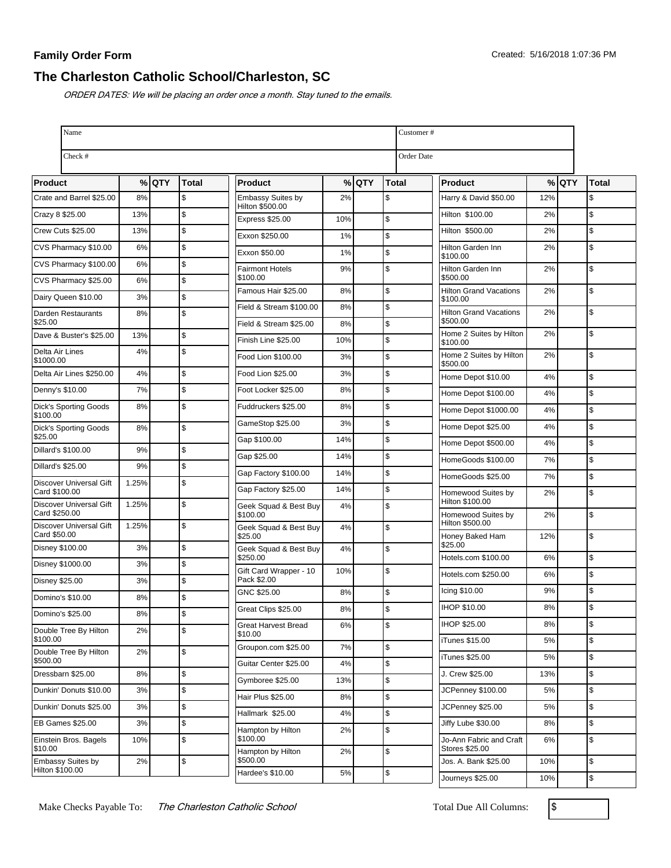## **The Charleston Catholic School/Charleston, SC**

ORDER DATES: We will be placing an order once a month. Stay tuned to the emails.

| Name                                     |       |         |               |                                           |     |       |               | Customer#                                 |         |  |       |  |  |
|------------------------------------------|-------|---------|---------------|-------------------------------------------|-----|-------|---------------|-------------------------------------------|---------|--|-------|--|--|
| Check #                                  |       |         |               |                                           |     |       |               | Order Date                                |         |  |       |  |  |
| <b>Product</b>                           |       | $%$ QTY | <b>Total</b>  | Product                                   |     | % QTY | Total         | Product                                   | $%$ QTY |  | Total |  |  |
| Crate and Barrel \$25.00                 | 8%    |         | \$            | <b>Embassy Suites by</b>                  | 2%  |       | \$            | Harry & David \$50.00                     | 12%     |  | \$    |  |  |
| Crazy 8 \$25.00                          | 13%   |         | \$            | Hilton \$500.00<br><b>Express \$25.00</b> | 10% |       | \$            | Hilton \$100.00                           | 2%      |  | \$    |  |  |
| Crew Cuts \$25.00                        | 13%   |         | \$            | Exxon \$250.00                            | 1%  |       | $\mathsf{\$}$ | Hilton \$500.00                           | 2%      |  | \$    |  |  |
| CVS Pharmacy \$10.00                     | 6%    |         | \$            | Exxon \$50.00                             | 1%  |       | $\mathsf{\$}$ | Hilton Garden Inn                         | 2%      |  | \$    |  |  |
| CVS Pharmacy \$100.00                    | 6%    |         | \$            | <b>Fairmont Hotels</b>                    | 9%  |       | $\mathsf{\$}$ | \$100.00<br>Hilton Garden Inn             | 2%      |  | \$    |  |  |
| CVS Pharmacy \$25.00                     | 6%    |         | \$            | \$100.00                                  |     |       |               | \$500.00                                  |         |  |       |  |  |
| Dairy Queen \$10.00                      | 3%    |         | \$            | Famous Hair \$25.00                       | 8%  |       | \$            | <b>Hilton Grand Vacations</b><br>\$100.00 | 2%      |  | \$    |  |  |
| Darden Restaurants                       | 8%    |         | \$            | Field & Stream \$100.00                   | 8%  |       | \$            | <b>Hilton Grand Vacations</b><br>\$500.00 | 2%      |  | \$    |  |  |
| \$25.00<br>Dave & Buster's \$25.00       | 13%   |         | \$            | Field & Stream \$25.00                    | 8%  |       | \$            | Home 2 Suites by Hilton                   | 2%      |  | \$    |  |  |
| Delta Air Lines                          | 4%    |         | \$            | Finish Line \$25.00                       | 10% |       | \$            | \$100.00<br>Home 2 Suites by Hilton       | 2%      |  | \$    |  |  |
| \$1000.00                                |       |         |               | Food Lion \$100.00                        | 3%  |       | \$            | \$500.00                                  |         |  |       |  |  |
| Delta Air Lines \$250.00                 | 4%    |         | $\mathfrak s$ | Food Lion \$25.00                         | 3%  |       | $\sqrt{2}$    | Home Depot \$10.00                        | 4%      |  | \$    |  |  |
| Denny's \$10.00                          | 7%    |         | \$            | Foot Locker \$25.00                       | 8%  |       | \$            | Home Depot \$100.00                       | 4%      |  | \$    |  |  |
| <b>Dick's Sporting Goods</b><br>\$100.00 | 8%    |         | \$            | Fuddruckers \$25.00                       | 8%  |       | \$            | Home Depot \$1000.00                      | 4%      |  | \$    |  |  |
| <b>Dick's Sporting Goods</b><br>\$25.00  | 8%    |         | \$            | GameStop \$25.00                          | 3%  |       | \$            | Home Depot \$25.00                        | 4%      |  | \$    |  |  |
| Dillard's \$100.00                       | 9%    |         | \$            | Gap \$100.00                              | 14% |       | \$            | Home Depot \$500.00                       | 4%      |  | \$    |  |  |
| <b>Dillard's \$25.00</b>                 | 9%    |         | $\mathsf{\$}$ | Gap \$25.00                               | 14% |       | $\mathsf{\$}$ | HomeGoods \$100.00                        | 7%      |  | \$    |  |  |
| <b>Discover Universal Gift</b>           | 1.25% |         | \$            | Gap Factory \$100.00                      | 14% |       | $\mathfrak s$ | HomeGoods \$25.00                         | 7%      |  | \$    |  |  |
| Card \$100.00                            |       |         |               | Gap Factory \$25.00                       | 14% |       | \$            | Homewood Suites by<br>Hilton \$100.00     | 2%      |  | \$    |  |  |
| Discover Universal Gift<br>Card \$250.00 | 1.25% |         | \$            | Geek Squad & Best Buy<br>\$100.00         | 4%  |       | \$            | Homewood Suites by                        | 2%      |  | \$    |  |  |
| Discover Universal Gift<br>Card \$50.00  | 1.25% |         | \$            | Geek Squad & Best Buy<br>\$25.00          | 4%  |       | \$            | Hilton \$500.00<br>Honey Baked Ham        | 12%     |  | \$    |  |  |
| Disney \$100.00                          | 3%    |         | \$            | Geek Squad & Best Buy                     | 4%  |       | \$            | \$25.00                                   |         |  |       |  |  |
| Disney \$1000.00                         | 3%    |         | \$            | \$250.00<br>Gift Card Wrapper - 10        | 10% |       | \$            | Hotels.com \$100.00                       | 6%      |  | \$    |  |  |
| <b>Disney \$25.00</b>                    | 3%    |         | \$            | Pack \$2.00                               |     |       |               | Hotels.com \$250.00                       | 6%      |  | \$    |  |  |
| Domino's \$10.00                         | 8%    |         | \$            | GNC \$25.00                               | 8%  |       | \$            | Icing \$10.00                             | 9%      |  | \$    |  |  |
| Domino's \$25.00                         | 8%    |         | ፍ             | Great Clips \$25.00                       | 8%  |       | $\mathsf{\$}$ | <b>IHOP \$10.00</b>                       | 8%      |  | \$    |  |  |
| Double Tree By Hilton<br>\$100.00        | 2%    |         | $\mathsf{\$}$ | <b>Great Harvest Bread</b><br>\$10.00     | 6%  |       | \$            | IHOP \$25.00                              | 8%      |  | \$    |  |  |
| Double Tree By Hilton                    | 2%    |         | \$            | Groupon.com \$25.00                       | 7%  |       | \$            | iTunes \$15.00                            | 5%      |  | \$    |  |  |
| \$500.00                                 |       |         |               | Guitar Center \$25.00                     | 4%  |       | \$            | iTunes \$25.00                            | 5%      |  | \$    |  |  |
| Dressbarn \$25.00                        | 8%    |         | \$            | Gymboree \$25.00                          | 13% |       | \$            | J. Crew \$25.00                           | 13%     |  | \$    |  |  |
| Dunkin' Donuts \$10.00                   | 3%    |         | \$            | Hair Plus \$25.00                         | 8%  |       | \$            | JCPenney \$100.00                         | 5%      |  | \$    |  |  |
| Dunkin' Donuts \$25.00                   | 3%    |         | $\sqrt{2}$    | Hallmark \$25.00                          | 4%  |       | \$            | JCPenney \$25.00                          | 5%      |  | \$    |  |  |
| EB Games \$25.00                         | 3%    |         | \$            | Hampton by Hilton                         | 2%  |       | \$            | Jiffy Lube \$30.00                        | 8%      |  | \$    |  |  |
| Einstein Bros. Bagels<br>\$10.00         | 10%   |         | \$            | \$100.00<br>Hampton by Hilton             | 2%  |       | $\,$          | Jo-Ann Fabric and Craft<br>Stores \$25.00 | 6%      |  | \$    |  |  |
| Embassy Suites by<br>Hilton \$100.00     | 2%    |         | \$            | \$500.00<br>Hardee's \$10.00              | 5%  |       | \$            | Jos. A. Bank \$25.00                      | 10%     |  | \$    |  |  |

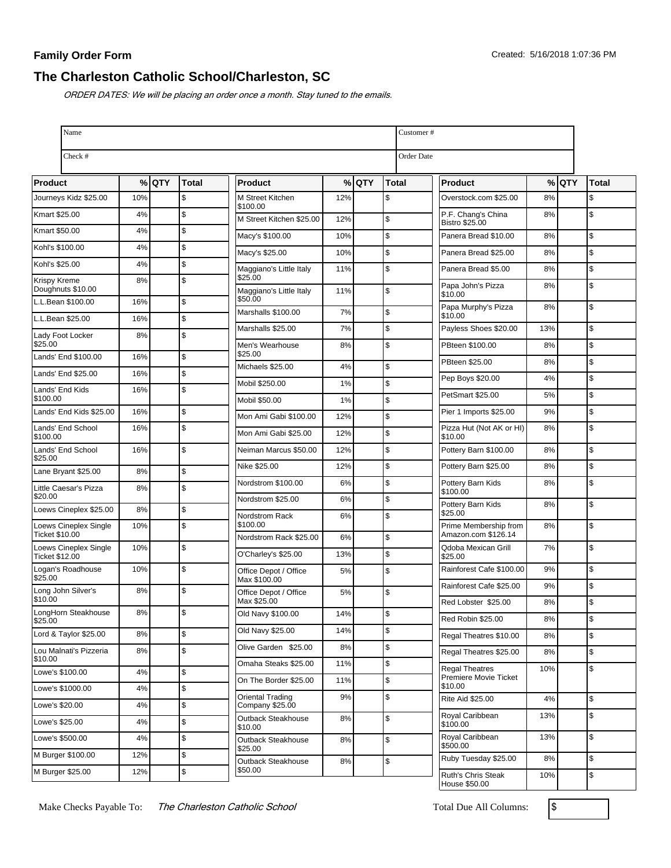# **The Charleston Catholic School/Charleston, SC**

ORDER DATES: We will be placing an order once a month. Stay tuned to the emails.

| Name                                           |     |         |              |                                       |                   | Customer# |              |                                              |          |         |              |
|------------------------------------------------|-----|---------|--------------|---------------------------------------|-------------------|-----------|--------------|----------------------------------------------|----------|---------|--------------|
| Check #                                        |     |         |              |                                       | <b>Order Date</b> |           |              |                                              |          |         |              |
| Product                                        |     | $%$ QTY | <b>Total</b> | <b>Product</b>                        |                   | $%$ QTY   | <b>Total</b> | <b>Product</b>                               |          | $%$ QTY | <b>Total</b> |
| Journeys Kidz \$25.00                          | 10% |         | \$           | M Street Kitchen<br>\$100.00          | 12%               |           | \$           | Overstock.com \$25.00                        | 8%       |         | \$           |
| Kmart \$25.00                                  | 4%  |         | \$           | M Street Kitchen \$25.00              | 12%               |           | \$           | P.F. Chang's China<br><b>Bistro \$25.00</b>  | 8%       |         | \$           |
| Kmart \$50.00                                  | 4%  |         | \$           | Macy's \$100.00                       | 10%               |           | \$           | Panera Bread \$10.00                         | 8%       |         | \$           |
| Kohl's \$100.00                                | 4%  |         | \$           | Macy's \$25.00                        | 10%               |           | \$           | Panera Bread \$25.00                         | 8%       |         | \$           |
| Kohl's \$25.00                                 | 4%  |         | \$           | Maggiano's Little Italy               | 11%               |           | \$           | Panera Bread \$5.00                          | 8%       |         | \$           |
| Krispy Kreme<br>Doughnuts \$10.00              | 8%  |         | \$           | \$25.00<br>Maggiano's Little Italy    | 11%               |           | \$           | Papa John's Pizza<br>\$10.00                 | 8%       |         | \$           |
| L.L.Bean \$100.00                              | 16% |         | \$           | \$50.00                               |                   |           |              | Papa Murphy's Pizza                          | 8%       |         | \$           |
| L.L.Bean \$25.00                               | 16% |         | \$           | Marshalls \$100.00                    | 7%                |           | \$           | \$10.00                                      |          |         |              |
| Lady Foot Locker<br>\$25.00                    | 8%  |         | \$           | Marshalls \$25.00                     | 7%                |           | \$           | Payless Shoes \$20.00                        | 13%      |         | \$           |
| Lands' End \$100.00                            | 16% |         | \$           | Men's Wearhouse<br>\$25.00            | 8%                |           | \$           | PBteen \$100.00                              | 8%       |         | \$           |
| Lands' End \$25.00                             | 16% |         | \$           | Michaels \$25.00                      | 4%                |           | \$           | PBteen \$25.00                               | 8%       |         | \$           |
| Lands' End Kids                                | 16% |         | \$           | Mobil \$250.00                        | 1%                |           | \$           | Pep Boys \$20.00                             | 4%       |         | \$           |
| \$100.00                                       |     |         |              | Mobil \$50.00                         | 1%                |           | \$           | PetSmart \$25.00                             | 5%       |         | \$           |
| Lands' End Kids \$25.00                        | 16% |         | \$           | Mon Ami Gabi \$100.00                 | 12%               |           | \$           | Pier 1 Imports \$25.00                       | 9%       |         | \$           |
| Lands' End School<br>\$100.00                  | 16% |         | \$           | Mon Ami Gabi \$25.00                  | 12%               |           | \$           | Pizza Hut (Not AK or HI)<br>\$10.00          | 8%       |         | \$           |
| Lands' End School<br>\$25.00                   | 16% |         | \$           | Neiman Marcus \$50.00                 | 12%               |           | \$           | Pottery Barn \$100.00                        | 8%       |         | \$           |
| Lane Bryant \$25.00                            | 8%  |         | \$           | Nike \$25.00                          | 12%               |           | \$           | Pottery Barn \$25.00                         | 8%       |         | \$           |
| Little Caesar's Pizza                          | 8%  |         | \$           | Nordstrom \$100.00                    | 6%                |           | \$           | Pottery Barn Kids<br>\$100.00                | 8%       |         | \$           |
| \$20.00                                        |     |         |              | Nordstrom \$25.00                     | 6%                |           | \$           | Pottery Barn Kids                            | 8%       |         | \$           |
| Loews Cineplex \$25.00                         | 8%  |         | \$           | Nordstrom Rack<br>\$100.00            | 6%                |           | \$           | \$25.00                                      |          |         |              |
| Loews Cineplex Single<br><b>Ticket \$10.00</b> | 10% |         | \$           | Nordstrom Rack \$25.00                | 6%                |           | \$           | Prime Membership from<br>Amazon.com \$126.14 | 8%       |         | \$           |
| Loews Cineplex Single<br><b>Ticket \$12.00</b> | 10% |         | \$           | O'Charley's \$25.00                   | 13%               |           | \$           | Qdoba Mexican Grill<br>\$25.00               | 7%       |         | \$           |
| Logan's Roadhouse<br>\$25.00                   | 10% |         | \$           | Office Depot / Office<br>Max \$100.00 | 5%                |           | \$           | Rainforest Cafe \$100.00                     | 9%       |         | \$           |
| Long John Silver's<br>\$10.00                  | 8%  |         | \$           | Office Depot / Office<br>Max \$25.00  | 5%                |           | \$           | Rainforest Cafe \$25.00                      | 9%       |         | \$           |
| LongHorn Steakhouse                            | 8%  |         | ፍ            | Old Navy \$100.00                     | 14%               |           |              | Red Lobster \$25.00<br>Red Robin \$25.00     | 8%<br>8% |         | \$<br>\$     |
| \$25.00<br>Lord & Taylor \$25.00               | 8%  |         | \$           | Old Navy \$25.00                      | 14%               |           | \$           | Regal Theatres \$10.00                       | 8%       |         | \$           |
| Lou Malnati's Pizzeria                         | 8%  |         | \$           | Olive Garden \$25.00                  | 8%                |           | \$           | Regal Theatres \$25.00                       | 8%       |         | \$           |
| \$10.00<br>Lowe's \$100.00                     |     |         |              | Omaha Steaks \$25.00                  | 11%               |           | \$           | <b>Regal Theatres</b>                        | 10%      |         | \$           |
|                                                | 4%  |         | \$           | On The Border \$25.00                 | 11%               |           | \$           | Premiere Movie Ticket<br>\$10.00             |          |         |              |
| Lowe's \$1000.00                               | 4%  |         | \$           | <b>Oriental Trading</b>               | 9%                |           | \$           | Rite Aid \$25.00                             | 4%       |         | \$           |
| Lowe's \$20.00                                 | 4%  |         | \$           | Company \$25.00<br>Outback Steakhouse | 8%                |           | \$           | Royal Caribbean                              | 13%      |         | \$           |
| Lowe's \$25.00                                 | 4%  |         | \$           | \$10.00                               |                   |           |              | \$100.00<br>Royal Caribbean                  |          |         | \$           |
| Lowe's \$500.00                                | 4%  |         | $\$$         | Outback Steakhouse<br>\$25.00         | 8%                |           | \$           | \$500.00                                     | 13%      |         |              |
| M Burger \$100.00                              | 12% |         | \$           | Outback Steakhouse                    | 8%                |           | \$           | Ruby Tuesday \$25.00                         | 8%       |         | \$           |
| M Burger \$25.00                               | 12% |         | \$           | \$50.00                               |                   |           |              | Ruth's Chris Steak<br>House \$50.00          | 10%      |         | \$           |

Make Checks Payable To: The Charleston Catholic School Total Due All Columns:  $\sqrt{\$}$